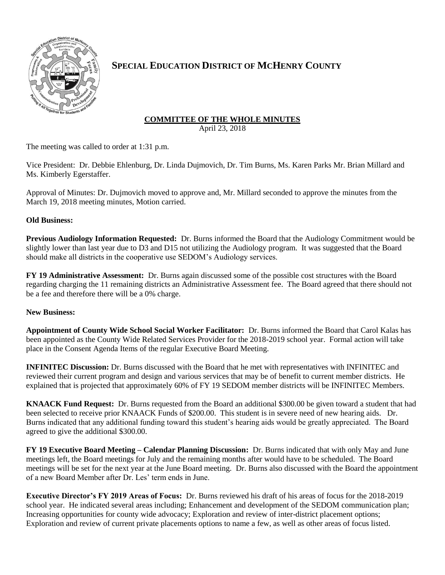

# **SPECIAL EDUCATION DISTRICT OF MCHENRY COUNTY**

# **COMMITTEE OF THE WHOLE MINUTES**

April 23, 2018

The meeting was called to order at 1:31 p.m.

Vice President: Dr. Debbie Ehlenburg, Dr. Linda Dujmovich, Dr. Tim Burns, Ms. Karen Parks Mr. Brian Millard and Ms. Kimberly Egerstaffer.

Approval of Minutes: Dr. Dujmovich moved to approve and, Mr. Millard seconded to approve the minutes from the March 19, 2018 meeting minutes, Motion carried.

## **Old Business:**

**Previous Audiology Information Requested:** Dr. Burns informed the Board that the Audiology Commitment would be slightly lower than last year due to D3 and D15 not utilizing the Audiology program. It was suggested that the Board should make all districts in the cooperative use SEDOM's Audiology services.

**FY 19 Administrative Assessment:** Dr. Burns again discussed some of the possible cost structures with the Board regarding charging the 11 remaining districts an Administrative Assessment fee. The Board agreed that there should not be a fee and therefore there will be a 0% charge.

### **New Business:**

**Appointment of County Wide School Social Worker Facilitator:** Dr. Burns informed the Board that Carol Kalas has been appointed as the County Wide Related Services Provider for the 2018-2019 school year. Formal action will take place in the Consent Agenda Items of the regular Executive Board Meeting.

**INFINITEC Discussion:** Dr. Burns discussed with the Board that he met with representatives with INFINITEC and reviewed their current program and design and various services that may be of benefit to current member districts. He explained that is projected that approximately 60% of FY 19 SEDOM member districts will be INFINITEC Members.

**KNAACK Fund Request:** Dr. Burns requested from the Board an additional \$300.00 be given toward a student that had been selected to receive prior KNAACK Funds of \$200.00. This student is in severe need of new hearing aids. Dr. Burns indicated that any additional funding toward this student's hearing aids would be greatly appreciated. The Board agreed to give the additional \$300.00.

**FY 19 Executive Board Meeting – Calendar Planning Discussion:** Dr. Burns indicated that with only May and June meetings left, the Board meetings for July and the remaining months after would have to be scheduled. The Board meetings will be set for the next year at the June Board meeting. Dr. Burns also discussed with the Board the appointment of a new Board Member after Dr. Les' term ends in June.

**Executive Director's FY 2019 Areas of Focus:** Dr. Burns reviewed his draft of his areas of focus for the 2018-2019 school year. He indicated several areas including; Enhancement and development of the SEDOM communication plan; Increasing opportunities for county wide advocacy; Exploration and review of inter-district placement options; Exploration and review of current private placements options to name a few, as well as other areas of focus listed.